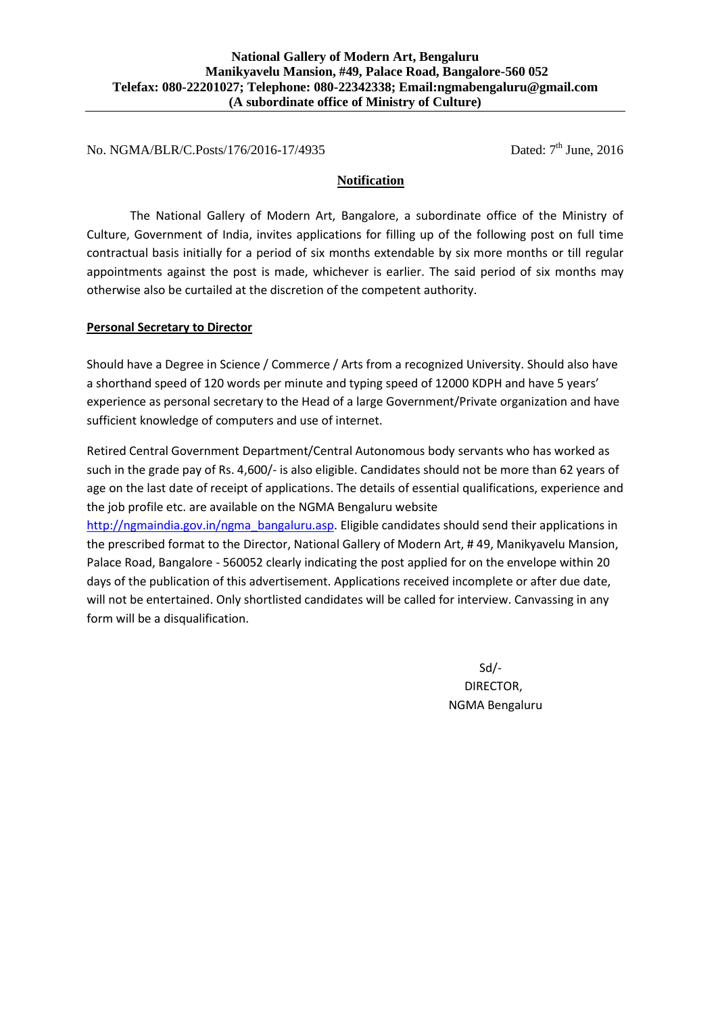No. NGMA/BLR/C.Posts/176/2016-17/4935 Dated: 7<sup>th</sup> June, 2016

## **Notification**

The National Gallery of Modern Art, Bangalore, a subordinate office of the Ministry of Culture, Government of India, invites applications for filling up of the following post on full time contractual basis initially for a period of six months extendable by six more months or till regular appointments against the post is made, whichever is earlier. The said period of six months may otherwise also be curtailed at the discretion of the competent authority.

## **Personal Secretary to Director**

Should have a Degree in Science / Commerce / Arts from a recognized University. Should also have a shorthand speed of 120 words per minute and typing speed of 12000 KDPH and have 5 years' experience as personal secretary to the Head of a large Government/Private organization and have sufficient knowledge of computers and use of internet.

Retired Central Government Department/Central Autonomous body servants who has worked as such in the grade pay of Rs. 4,600/- is also eligible. Candidates should not be more than 62 years of age on the last date of receipt of applications. The details of essential qualifications, experience and the job profile etc. are available on the NGMA Bengaluru website

[http://ngmaindia.gov.in/ngma\\_bangaluru.asp.](http://ngmaindia.gov.in/ngma_bangaluru.asp) Eligible candidates should send their applications in the prescribed format to the Director, National Gallery of Modern Art, # 49, Manikyavelu Mansion, Palace Road, Bangalore - 560052 clearly indicating the post applied for on the envelope within 20 days of the publication of this advertisement. Applications received incomplete or after due date, will not be entertained. Only shortlisted candidates will be called for interview. Canvassing in any form will be a disqualification.

> Sd/- DIRECTOR, NGMA Bengaluru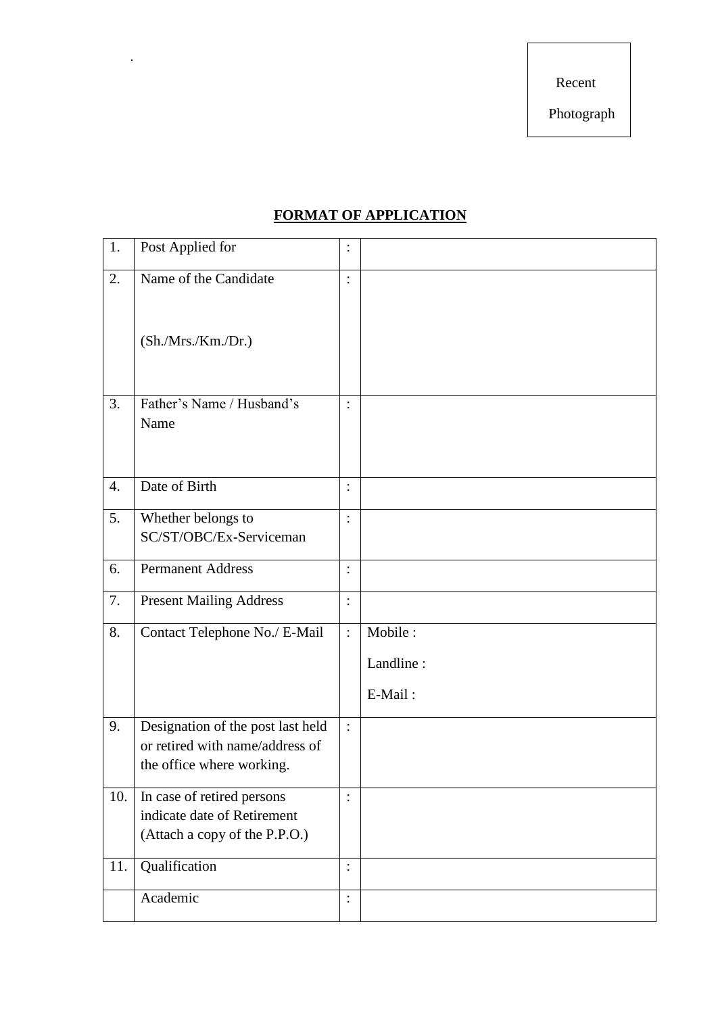Recent

Photograph

## **FORMAT OF APPLICATION**

.

| 1.                 | Post Applied for                                             | $\ddot{\cdot}$ |           |
|--------------------|--------------------------------------------------------------|----------------|-----------|
| 2.                 | Name of the Candidate                                        | $\ddot{\cdot}$ |           |
|                    |                                                              |                |           |
|                    | (Sh./Mrs./ Km./Dr.)                                          |                |           |
|                    |                                                              |                |           |
| 3.                 | Father's Name / Husband's<br>Name                            | $\ddot{\cdot}$ |           |
|                    |                                                              |                |           |
| $\boldsymbol{4}$ . | Date of Birth                                                | $\ddot{\cdot}$ |           |
|                    |                                                              |                |           |
| 5.                 | Whether belongs to                                           | $\vdots$       |           |
|                    | SC/ST/OBC/Ex-Serviceman                                      |                |           |
| 6.                 | <b>Permanent Address</b>                                     | $\ddot{\cdot}$ |           |
| 7.                 | <b>Present Mailing Address</b>                               | $\ddot{\cdot}$ |           |
| 8.                 | Contact Telephone No./ E-Mail                                | $\vdots$       | Mobile:   |
|                    |                                                              |                | Landline: |
|                    |                                                              |                | E-Mail:   |
| 9.                 | Designation of the post last held                            | $\ddot{\cdot}$ |           |
|                    | or retired with name/address of<br>the office where working. |                |           |
|                    |                                                              |                |           |
| 10.                | In case of retired persons                                   | $\colon$       |           |
|                    | indicate date of Retirement                                  |                |           |
|                    | (Attach a copy of the P.P.O.)                                |                |           |
| 11.                | Qualification                                                | $\vdots$       |           |
|                    | Academic                                                     | $\ddot{\cdot}$ |           |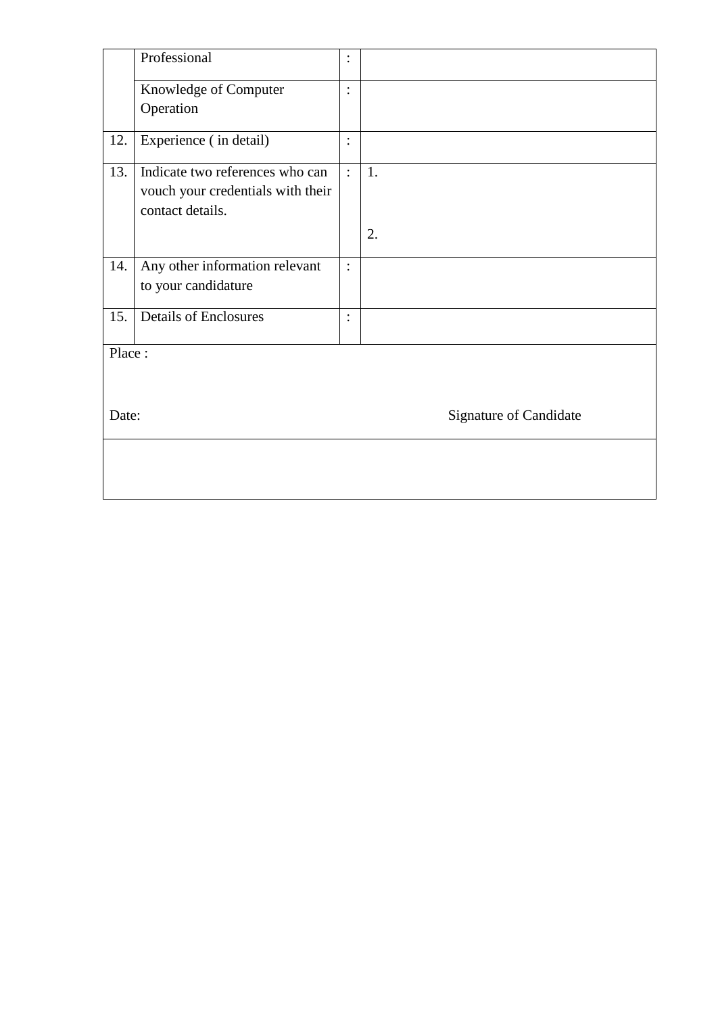|       | Professional                      |                |                        |  |  |
|-------|-----------------------------------|----------------|------------------------|--|--|
|       | Knowledge of Computer             | $\ddot{\cdot}$ |                        |  |  |
|       | Operation                         |                |                        |  |  |
| 12.   | Experience (in detail)            | $\vdots$       |                        |  |  |
| 13.   | Indicate two references who can   | $\ddot{\cdot}$ | 1.                     |  |  |
|       | vouch your credentials with their |                |                        |  |  |
|       | contact details.                  |                |                        |  |  |
|       |                                   |                | 2.                     |  |  |
| 14.   | Any other information relevant    | $\vdots$       |                        |  |  |
|       | to your candidature               |                |                        |  |  |
| 15.   | <b>Details of Enclosures</b>      | $\ddot{\cdot}$ |                        |  |  |
|       |                                   |                |                        |  |  |
|       | Place:                            |                |                        |  |  |
|       |                                   |                |                        |  |  |
|       |                                   |                |                        |  |  |
| Date: |                                   |                | Signature of Candidate |  |  |
|       |                                   |                |                        |  |  |
|       |                                   |                |                        |  |  |
|       |                                   |                |                        |  |  |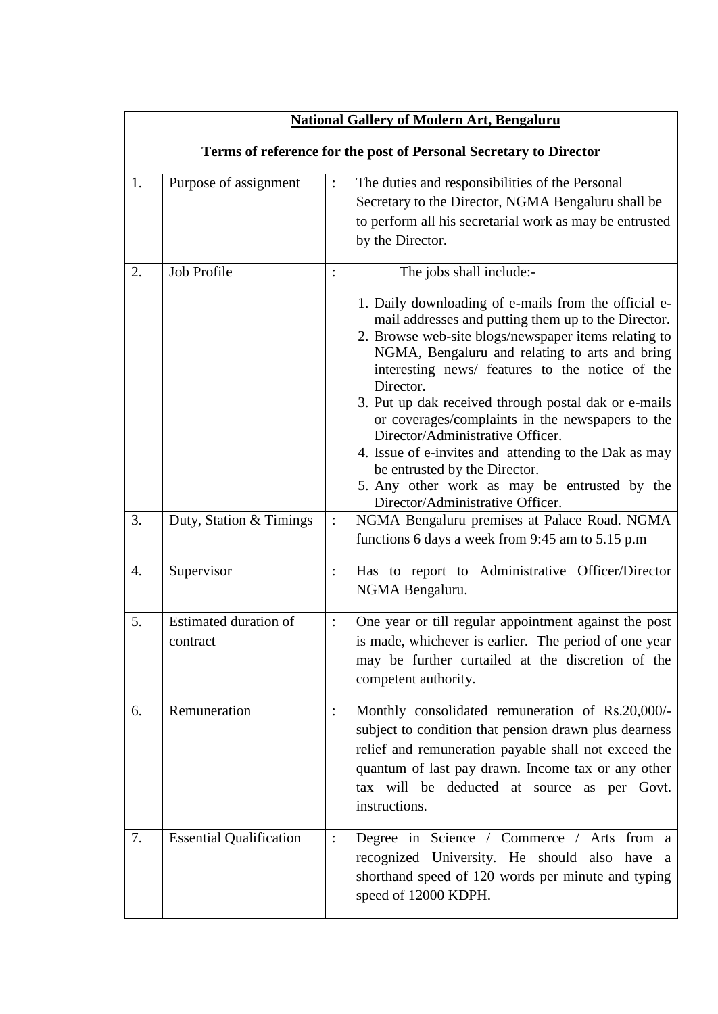| <b>National Gallery of Modern Art, Bengaluru</b>                  |                                   |                |                                                                                                                                                                                                                                                                                                                                                                                                                                                                                                                                                                                                                                                 |  |  |  |
|-------------------------------------------------------------------|-----------------------------------|----------------|-------------------------------------------------------------------------------------------------------------------------------------------------------------------------------------------------------------------------------------------------------------------------------------------------------------------------------------------------------------------------------------------------------------------------------------------------------------------------------------------------------------------------------------------------------------------------------------------------------------------------------------------------|--|--|--|
| Terms of reference for the post of Personal Secretary to Director |                                   |                |                                                                                                                                                                                                                                                                                                                                                                                                                                                                                                                                                                                                                                                 |  |  |  |
| 1.                                                                | Purpose of assignment             | $\ddot{\cdot}$ | The duties and responsibilities of the Personal<br>Secretary to the Director, NGMA Bengaluru shall be<br>to perform all his secretarial work as may be entrusted<br>by the Director.                                                                                                                                                                                                                                                                                                                                                                                                                                                            |  |  |  |
| 2.                                                                | Job Profile                       | :              | The jobs shall include:-<br>1. Daily downloading of e-mails from the official e-<br>mail addresses and putting them up to the Director.<br>2. Browse web-site blogs/newspaper items relating to<br>NGMA, Bengaluru and relating to arts and bring<br>interesting news/ features to the notice of the<br>Director.<br>3. Put up dak received through postal dak or e-mails<br>or coverages/complaints in the newspapers to the<br>Director/Administrative Officer.<br>4. Issue of e-invites and attending to the Dak as may<br>be entrusted by the Director.<br>5. Any other work as may be entrusted by the<br>Director/Administrative Officer. |  |  |  |
| 3.                                                                | Duty, Station & Timings           | $\colon$       | NGMA Bengaluru premises at Palace Road. NGMA<br>functions 6 days a week from 9:45 am to 5.15 p.m                                                                                                                                                                                                                                                                                                                                                                                                                                                                                                                                                |  |  |  |
| 4.                                                                | Supervisor                        | $\ddot{\cdot}$ | Has to report to Administrative Officer/Director<br>NGMA Bengaluru.                                                                                                                                                                                                                                                                                                                                                                                                                                                                                                                                                                             |  |  |  |
| 5.                                                                | Estimated duration of<br>contract | $\ddot{\cdot}$ | One year or till regular appointment against the post<br>is made, whichever is earlier. The period of one year<br>may be further curtailed at the discretion of the<br>competent authority.                                                                                                                                                                                                                                                                                                                                                                                                                                                     |  |  |  |
| 6.                                                                | Remuneration                      | $\vdots$       | Monthly consolidated remuneration of Rs.20,000/-<br>subject to condition that pension drawn plus dearness<br>relief and remuneration payable shall not exceed the<br>quantum of last pay drawn. Income tax or any other<br>tax will be deducted at source as per Govt.<br>instructions.                                                                                                                                                                                                                                                                                                                                                         |  |  |  |
| 7.                                                                | <b>Essential Qualification</b>    | $\ddot{\cdot}$ | Degree in Science / Commerce / Arts from a<br>recognized University. He should<br>also<br>have<br><sub>a</sub><br>shorthand speed of 120 words per minute and typing<br>speed of 12000 KDPH.                                                                                                                                                                                                                                                                                                                                                                                                                                                    |  |  |  |